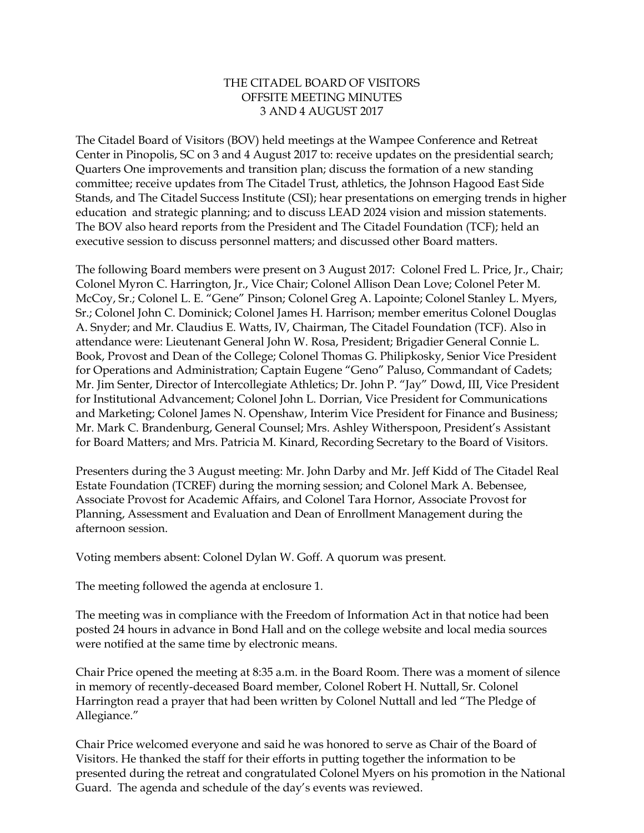## THE CITADEL BOARD OF VISITORS OFFSITE MEETING MINUTES 3 AND 4 AUGUST 2017

The Citadel Board of Visitors (BOV) held meetings at the Wampee Conference and Retreat Center in Pinopolis, SC on 3 and 4 August 2017 to: receive updates on the presidential search; Quarters One improvements and transition plan; discuss the formation of a new standing committee; receive updates from The Citadel Trust, athletics, the Johnson Hagood East Side Stands, and The Citadel Success Institute (CSI); hear presentations on emerging trends in higher education and strategic planning; and to discuss LEAD 2024 vision and mission statements. The BOV also heard reports from the President and The Citadel Foundation (TCF); held an executive session to discuss personnel matters; and discussed other Board matters.

The following Board members were present on 3 August 2017: Colonel Fred L. Price, Jr., Chair; Colonel Myron C. Harrington, Jr., Vice Chair; Colonel Allison Dean Love; Colonel Peter M. McCoy, Sr.; Colonel L. E. "Gene" Pinson; Colonel Greg A. Lapointe; Colonel Stanley L. Myers, Sr.; Colonel John C. Dominick; Colonel James H. Harrison; member emeritus Colonel Douglas A. Snyder; and Mr. Claudius E. Watts, IV, Chairman, The Citadel Foundation (TCF). Also in attendance were: Lieutenant General John W. Rosa, President; Brigadier General Connie L. Book, Provost and Dean of the College; Colonel Thomas G. Philipkosky, Senior Vice President for Operations and Administration; Captain Eugene "Geno" Paluso, Commandant of Cadets; Mr. Jim Senter, Director of Intercollegiate Athletics; Dr. John P. "Jay" Dowd, III, Vice President for Institutional Advancement; Colonel John L. Dorrian, Vice President for Communications and Marketing; Colonel James N. Openshaw, Interim Vice President for Finance and Business; Mr. Mark C. Brandenburg, General Counsel; Mrs. Ashley Witherspoon, President's Assistant for Board Matters; and Mrs. Patricia M. Kinard, Recording Secretary to the Board of Visitors.

Presenters during the 3 August meeting: Mr. John Darby and Mr. Jeff Kidd of The Citadel Real Estate Foundation (TCREF) during the morning session; and Colonel Mark A. Bebensee, Associate Provost for Academic Affairs, and Colonel Tara Hornor, Associate Provost for Planning, Assessment and Evaluation and Dean of Enrollment Management during the afternoon session.

Voting members absent: Colonel Dylan W. Goff. A quorum was present.

The meeting followed the agenda at enclosure 1.

The meeting was in compliance with the Freedom of Information Act in that notice had been posted 24 hours in advance in Bond Hall and on the college website and local media sources were notified at the same time by electronic means.

Chair Price opened the meeting at 8:35 a.m. in the Board Room. There was a moment of silence in memory of recently-deceased Board member, Colonel Robert H. Nuttall, Sr. Colonel Harrington read a prayer that had been written by Colonel Nuttall and led "The Pledge of Allegiance."

Chair Price welcomed everyone and said he was honored to serve as Chair of the Board of Visitors. He thanked the staff for their efforts in putting together the information to be presented during the retreat and congratulated Colonel Myers on his promotion in the National Guard. The agenda and schedule of the day's events was reviewed.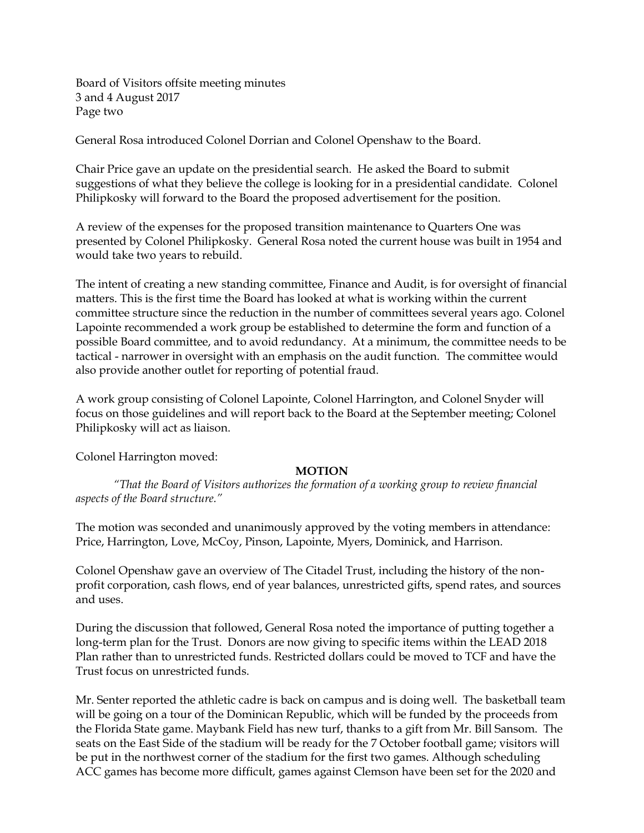Board of Visitors offsite meeting minutes 3 and 4 August 2017 Page two

General Rosa introduced Colonel Dorrian and Colonel Openshaw to the Board.

Chair Price gave an update on the presidential search. He asked the Board to submit suggestions of what they believe the college is looking for in a presidential candidate. Colonel Philipkosky will forward to the Board the proposed advertisement for the position.

A review of the expenses for the proposed transition maintenance to Quarters One was presented by Colonel Philipkosky. General Rosa noted the current house was built in 1954 and would take two years to rebuild.

The intent of creating a new standing committee, Finance and Audit, is for oversight of financial matters. This is the first time the Board has looked at what is working within the current committee structure since the reduction in the number of committees several years ago. Colonel Lapointe recommended a work group be established to determine the form and function of a possible Board committee, and to avoid redundancy. At a minimum, the committee needs to be tactical - narrower in oversight with an emphasis on the audit function. The committee would also provide another outlet for reporting of potential fraud.

A work group consisting of Colonel Lapointe, Colonel Harrington, and Colonel Snyder will focus on those guidelines and will report back to the Board at the September meeting; Colonel Philipkosky will act as liaison.

Colonel Harrington moved:

## **MOTION**

*"That the Board of Visitors authorizes the formation of a working group to review financial aspects of the Board structure."*

The motion was seconded and unanimously approved by the voting members in attendance: Price, Harrington, Love, McCoy, Pinson, Lapointe, Myers, Dominick, and Harrison.

Colonel Openshaw gave an overview of The Citadel Trust, including the history of the nonprofit corporation, cash flows, end of year balances, unrestricted gifts, spend rates, and sources and uses.

During the discussion that followed, General Rosa noted the importance of putting together a long-term plan for the Trust. Donors are now giving to specific items within the LEAD 2018 Plan rather than to unrestricted funds. Restricted dollars could be moved to TCF and have the Trust focus on unrestricted funds.

Mr. Senter reported the athletic cadre is back on campus and is doing well. The basketball team will be going on a tour of the Dominican Republic, which will be funded by the proceeds from the Florida State game. Maybank Field has new turf, thanks to a gift from Mr. Bill Sansom. The seats on the East Side of the stadium will be ready for the 7 October football game; visitors will be put in the northwest corner of the stadium for the first two games. Although scheduling ACC games has become more difficult, games against Clemson have been set for the 2020 and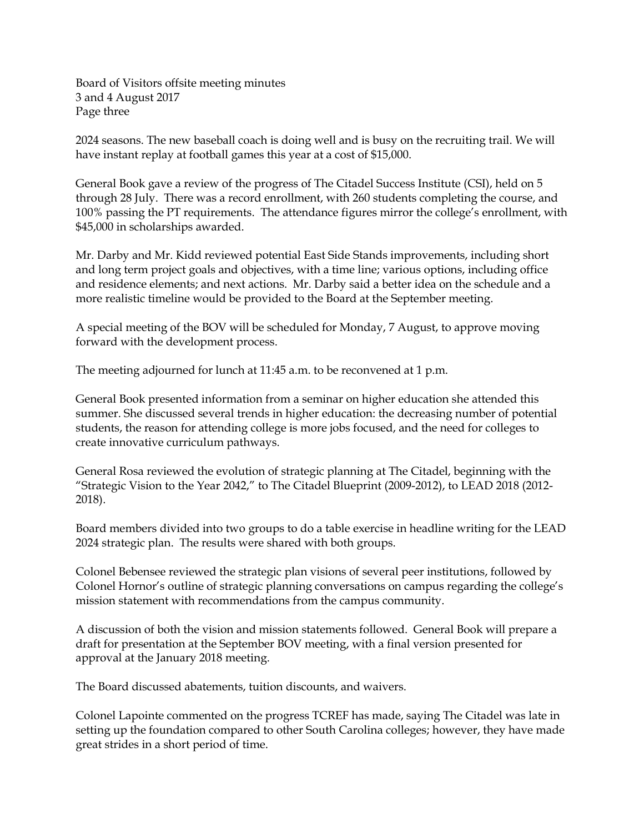Board of Visitors offsite meeting minutes 3 and 4 August 2017 Page three

2024 seasons. The new baseball coach is doing well and is busy on the recruiting trail. We will have instant replay at football games this year at a cost of \$15,000.

General Book gave a review of the progress of The Citadel Success Institute (CSI), held on 5 through 28 July. There was a record enrollment, with 260 students completing the course, and 100% passing the PT requirements. The attendance figures mirror the college's enrollment, with \$45,000 in scholarships awarded.

Mr. Darby and Mr. Kidd reviewed potential East Side Stands improvements, including short and long term project goals and objectives, with a time line; various options, including office and residence elements; and next actions. Mr. Darby said a better idea on the schedule and a more realistic timeline would be provided to the Board at the September meeting.

A special meeting of the BOV will be scheduled for Monday, 7 August, to approve moving forward with the development process.

The meeting adjourned for lunch at 11:45 a.m. to be reconvened at 1 p.m.

General Book presented information from a seminar on higher education she attended this summer. She discussed several trends in higher education: the decreasing number of potential students, the reason for attending college is more jobs focused, and the need for colleges to create innovative curriculum pathways.

General Rosa reviewed the evolution of strategic planning at The Citadel, beginning with the "Strategic Vision to the Year 2042," to The Citadel Blueprint (2009-2012), to LEAD 2018 (2012- 2018).

Board members divided into two groups to do a table exercise in headline writing for the LEAD 2024 strategic plan. The results were shared with both groups.

Colonel Bebensee reviewed the strategic plan visions of several peer institutions, followed by Colonel Hornor's outline of strategic planning conversations on campus regarding the college's mission statement with recommendations from the campus community.

A discussion of both the vision and mission statements followed. General Book will prepare a draft for presentation at the September BOV meeting, with a final version presented for approval at the January 2018 meeting.

The Board discussed abatements, tuition discounts, and waivers.

Colonel Lapointe commented on the progress TCREF has made, saying The Citadel was late in setting up the foundation compared to other South Carolina colleges; however, they have made great strides in a short period of time.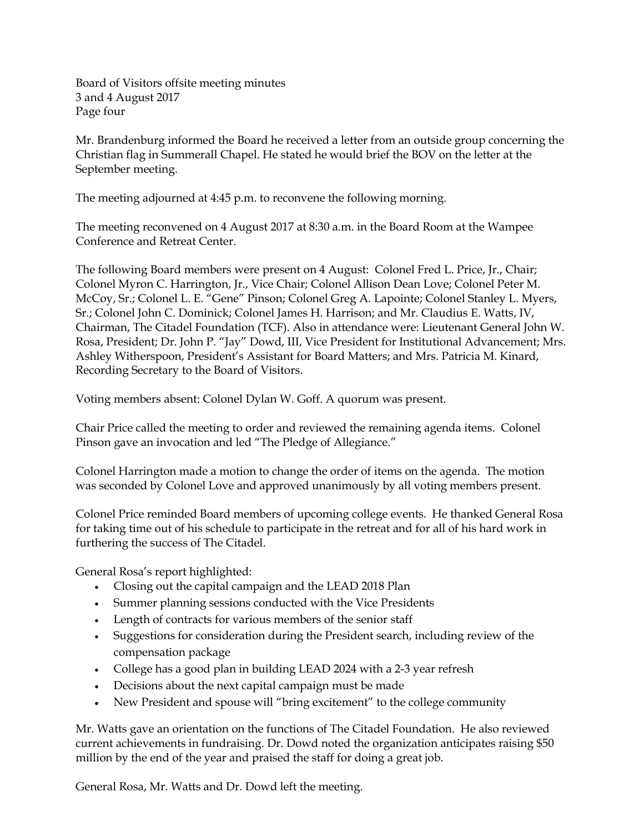Board of Visitors offsite meeting minutes 3 and 4 August 2017 Page four

Mr. Brandenburg informed the Board he received a letter from an outside group concerning the Christian flag in Summerall Chapel. He stated he would brief the BOV on the letter at the September meeting.

The meeting adjourned at 4:45 p.m. to reconvene the following morning.

The meeting reconvened on 4 August 2017 at 8:30 a.m. in the Board Room at the Wampee Conference and Retreat Center.

The following Board members were present on 4 August: Colonel Fred L. Price, Jr., Chair; Colonel Myron C. Harrington, Jr., Vice Chair; Colonel Allison Dean Love; Colonel Peter M. McCoy, Sr.; Colonel L. E. "Gene" Pinson; Colonel Greg A. Lapointe; Colonel Stanley L. Myers, Sr.; Colonel John C. Dominick; Colonel James H. Harrison; and Mr. Claudius E. Watts, IV, Chairman, The Citadel Foundation (TCF). Also in attendance were: Lieutenant General John W. Rosa, President; Dr. John P. "Jay" Dowd, III, Vice President for Institutional Advancement; Mrs. Ashley Witherspoon, President's Assistant for Board Matters; and Mrs. Patricia M. Kinard, Recording Secretary to the Board of Visitors.

Voting members absent: Colonel Dylan W. Goff. A quorum was present.

Chair Price called the meeting to order and reviewed the remaining agenda items. Colonel Pinson gave an invocation and led "The Pledge of Allegiance."

Colonel Harrington made a motion to change the order of items on the agenda. The motion was seconded by Colonel Love and approved unanimously by all voting members present.

Colonel Price reminded Board members of upcoming college events. He thanked General Rosa for taking time out of his schedule to participate in the retreat and for all of his hard work in furthering the success of The Citadel.

General Rosa's report highlighted:

- Closing out the capital campaign and the LEAD 2018 Plan
- Summer planning sessions conducted with the Vice Presidents
- Length of contracts for various members of the senior staff
- Suggestions for consideration during the President search, including review of the compensation package
- College has a good plan in building LEAD 2024 with a 2-3 year refresh
- Decisions about the next capital campaign must be made
- New President and spouse will "bring excitement" to the college community

Mr. Watts gave an orientation on the functions of The Citadel Foundation. He also reviewed current achievements in fundraising. Dr. Dowd noted the organization anticipates raising \$50 million by the end of the year and praised the staff for doing a great job.

General Rosa, Mr. Watts and Dr. Dowd left the meeting.